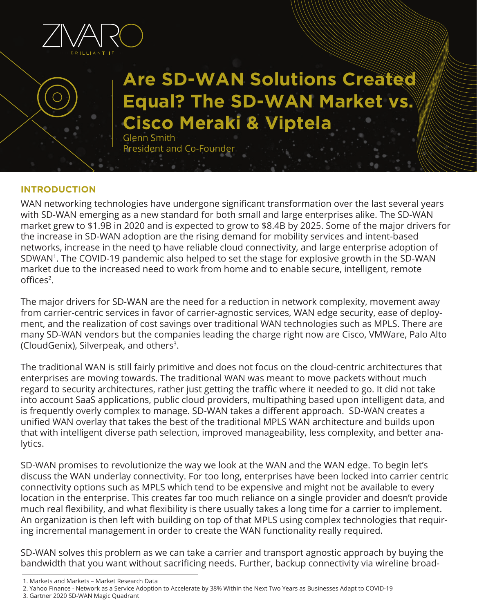

# **Are SD-WAN Solutions Created Equal? The SD-WAN Market vs. Cisco Meraki & Viptela**

Glenn Smith President and Co-Founder

#### **INTRODUCTION**

WAN networking technologies have undergone significant transformation over the last several years with SD-WAN emerging as a new standard for both small and large enterprises alike. The SD-WAN market grew to \$1.9B in 2020 and is expected to grow to \$8.4B by 2025. Some of the major drivers for the increase in SD-WAN adoption are the rising demand for mobility services and intent-based networks, increase in the need to have reliable cloud connectivity, and large enterprise adoption of 1 SDWAN1. The COVID-19 pandemic also helped to set the stage for explosive growth in the SD-WAN market due to the increased need to work from home and to enable secure, intelligent, remote offices2.

The major drivers for SD-WAN are the need for a reduction in network complexity, movement away from carrier-centric services in favor of carrier-agnostic services, WAN edge security, ease of deployment, and the realization of cost savings over traditional WAN technologies such as MPLS. There are many SD-WAN vendors but the companies leading the charge right now are Cisco, VMWare, Palo Alto (CloudGenix), Silverpeak, and others<sup>3</sup>.

The traditional WAN is still fairly primitive and does not focus on the cloud-centric architectures that enterprises are moving towards. The traditional WAN was meant to move packets without much regard to security architectures, rather just getting the traffic where it needed to go. It did not take into account SaaS applications, public cloud providers, multipathing based upon intelligent data, and is frequently overly complex to manage. SD-WAN takes a different approach. SD-WAN creates a unified WAN overlay that takes the best of the traditional MPLS WAN architecture and builds upon that with intelligent diverse path selection, improved manageability, less complexity, and better analytics.

SD-WAN promises to revolutionize the way we look at the WAN and the WAN edge. To begin let's discuss the WAN underlay connectivity. For too long, enterprises have been locked into carrier centric connectivity options such as MPLS which tend to be expensive and might not be available to every location in the enterprise. This creates far too much reliance on a single provider and doesn't provide much real flexibility, and what flexibility is there usually takes a long time for a carrier to implement. An organization is then left with building on top of that MPLS using complex technologies that requiring incremental management in order to create the WAN functionality really required.

SD-WAN solves this problem as we can take a carrier and transport agnostic approach by buying the bandwidth that you want without sacrificing needs. Further, backup connectivity via wireline broad-

- 2. Yahoo Finance Network as a Service Adoption to Accelerate by 38% Within the Next Two Years as Businesses Adapt to COVID-19
- 3. Gartner 2020 SD-WAN Magic Quadrant

<sup>1.</sup> Markets and Markets – Market Research Data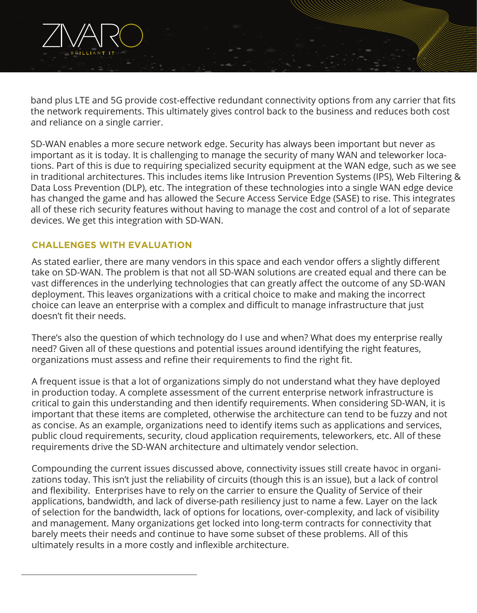

SD-WAN enables a more secure network edge. Security has always been important but never as important as it is today. It is challenging to manage the security of many WAN and teleworker locations. Part of this is due to requiring specialized security equipment at the WAN edge, such as we see in traditional architectures. This includes items like Intrusion Prevention Systems (IPS), Web Filtering & Data Loss Prevention (DLP), etc. The integration of these technologies into a single WAN edge device has changed the game and has allowed the Secure Access Service Edge (SASE) to rise. This integrates all of these rich security features without having to manage the cost and control of a lot of separate devices. We get this integration with SD-WAN.

### **CHALLENGES WITH EVALUATION**

As stated earlier, there are many vendors in this space and each vendor offers a slightly different take on SD-WAN. The problem is that not all SD-WAN solutions are created equal and there can be vast differences in the underlying technologies that can greatly affect the outcome of any SD-WAN deployment. This leaves organizations with a critical choice to make and making the incorrect choice can leave an enterprise with a complex and difficult to manage infrastructure that just doesn't fit their needs.

There's also the question of which technology do I use and when? What does my enterprise really need? Given all of these questions and potential issues around identifying the right features, organizations must assess and refine their requirements to find the right fit.

A frequent issue is that a lot of organizations simply do not understand what they have deployed in production today. A complete assessment of the current enterprise network infrastructure is critical to gain this understanding and then identify requirements. When considering SD-WAN, it is important that these items are completed, otherwise the architecture can tend to be fuzzy and not as concise. As an example, organizations need to identify items such as applications and services, public cloud requirements, security, cloud application requirements, teleworkers, etc. All of these requirements drive the SD-WAN architecture and ultimately vendor selection.

Compounding the current issues discussed above, connectivity issues still create havoc in organizations today. This isn't just the reliability of circuits (though this is an issue), but a lack of control and flexibility. Enterprises have to rely on the carrier to ensure the Quality of Service of their applications, bandwidth, and lack of diverse-path resiliency just to name a few. Layer on the lack of selection for the bandwidth, lack of options for locations, over-complexity, and lack of visibility and management. Many organizations get locked into long-term contracts for connectivity that barely meets their needs and continue to have some subset of these problems. All of this ultimately results in a more costly and inflexible architecture.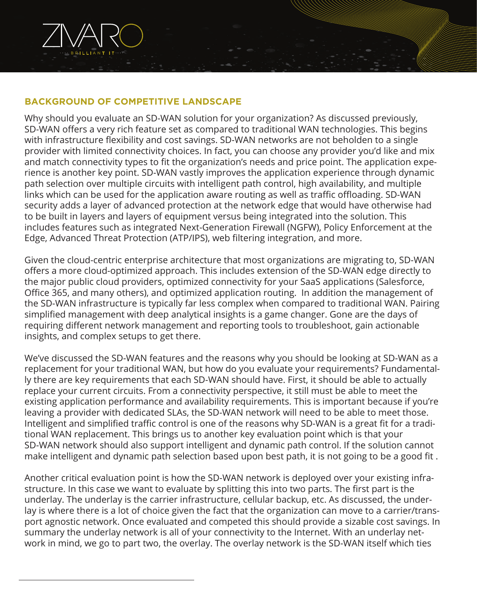

## **BACKGROUND OF COMPETITIVE LANDSCAPE**

Why should you evaluate an SD-WAN solution for your organization? As discussed previously, SD-WAN offers a very rich feature set as compared to traditional WAN technologies. This begins with infrastructure flexibility and cost savings. SD-WAN networks are not beholden to a single provider with limited connectivity choices. In fact, you can choose any provider you'd like and mix and match connectivity types to fit the organization's needs and price point. The application experience is another key point. SD-WAN vastly improves the application experience through dynamic path selection over multiple circuits with intelligent path control, high availability, and multiple links which can be used for the application aware routing as well as traffic offloading. SD-WAN security adds a layer of advanced protection at the network edge that would have otherwise had to be built in layers and layers of equipment versus being integrated into the solution. This includes features such as integrated Next-Generation Firewall (NGFW), Policy Enforcement at the Edge, Advanced Threat Protection (ATP/IPS), web filtering integration, and more.

Given the cloud-centric enterprise architecture that most organizations are migrating to, SD-WAN offers a more cloud-optimized approach. This includes extension of the SD-WAN edge directly to the major public cloud providers, optimized connectivity for your SaaS applications (Salesforce, Office 365, and many others), and optimized application routing. In addition the management of the SD-WAN infrastructure is typically far less complex when compared to traditional WAN. Pairing simplified management with deep analytical insights is a game changer. Gone are the days of requiring different network management and reporting tools to troubleshoot, gain actionable insights, and complex setups to get there.

We've discussed the SD-WAN features and the reasons why you should be looking at SD-WAN as a replacement for your traditional WAN, but how do you evaluate your requirements? Fundamentally there are key requirements that each SD-WAN should have. First, it should be able to actually replace your current circuits. From a connectivity perspective, it still must be able to meet the existing application performance and availability requirements. This is important because if you're leaving a provider with dedicated SLAs, the SD-WAN network will need to be able to meet those. Intelligent and simplified traffic control is one of the reasons why SD-WAN is a great fit for a traditional WAN replacement. This brings us to another key evaluation point which is that your SD-WAN network should also support intelligent and dynamic path control. If the solution cannot make intelligent and dynamic path selection based upon best path, it is not going to be a good fit .

Another critical evaluation point is how the SD-WAN network is deployed over your existing infrastructure. In this case we want to evaluate by splitting this into two parts. The first part is the underlay. The underlay is the carrier infrastructure, cellular backup, etc. As discussed, the underlay is where there is a lot of choice given the fact that the organization can move to a carrier/transport agnostic network. Once evaluated and competed this should provide a sizable cost savings. In summary the underlay network is all of your connectivity to the Internet. With an underlay network in mind, we go to part two, the overlay. The overlay network is the SD-WAN itself which ties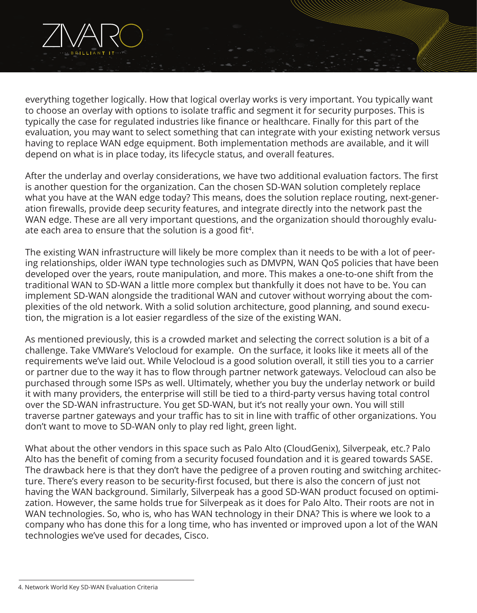

everything together logically. How that logical overlay works is very important. You typically want to choose an overlay with options to isolate traffic and segment it for security purposes. This is typically the case for regulated industries like finance or healthcare. Finally for this part of the evaluation, you may want to select something that can integrate with your existing network versus having to replace WAN edge equipment. Both implementation methods are available, and it will depend on what is in place today, its lifecycle status, and overall features.

After the underlay and overlay considerations, we have two additional evaluation factors. The first is another question for the organization. Can the chosen SD-WAN solution completely replace what you have at the WAN edge today? This means, does the solution replace routing, next-generation firewalls, provide deep security features, and integrate directly into the network past the WAN edge. These are all very important questions, and the organization should thoroughly evaluate each area to ensure that the solution is a good fit<sup>4</sup>.

The existing WAN infrastructure will likely be more complex than it needs to be with a lot of peering relationships, older iWAN type technologies such as DMVPN, WAN QoS policies that have been developed over the years, route manipulation, and more. This makes a one-to-one shift from the traditional WAN to SD-WAN a little more complex but thankfully it does not have to be. You can implement SD-WAN alongside the traditional WAN and cutover without worrying about the complexities of the old network. With a solid solution architecture, good planning, and sound execution, the migration is a lot easier regardless of the size of the existing WAN.

As mentioned previously, this is a crowded market and selecting the correct solution is a bit of a challenge. Take VMWare's Velocloud for example. On the surface, it looks like it meets all of the requirements we've laid out. While Velocloud is a good solution overall, it still ties you to a carrier or partner due to the way it has to flow through partner network gateways. Velocloud can also be purchased through some ISPs as well. Ultimately, whether you buy the underlay network or build it with many providers, the enterprise will still be tied to a third-party versus having total control over the SD-WAN infrastructure. You get SD-WAN, but it's not really your own. You will still traverse partner gateways and your traffic has to sit in line with traffic of other organizations. You don't want to move to SD-WAN only to play red light, green light.

What about the other vendors in this space such as Palo Alto (CloudGenix), Silverpeak, etc.? Palo Alto has the benefit of coming from a security focused foundation and it is geared towards SASE. The drawback here is that they don't have the pedigree of a proven routing and switching architecture. There's every reason to be security-first focused, but there is also the concern of just not having the WAN background. Similarly, Silverpeak has a good SD-WAN product focused on optimization. However, the same holds true for Silverpeak as it does for Palo Alto. Their roots are not in WAN technologies. So, who is, who has WAN technology in their DNA? This is where we look to a company who has done this for a long time, who has invented or improved upon a lot of the WAN technologies we've used for decades, Cisco.

<sup>4.</sup> Network World Key SD-WAN Evaluation Criteria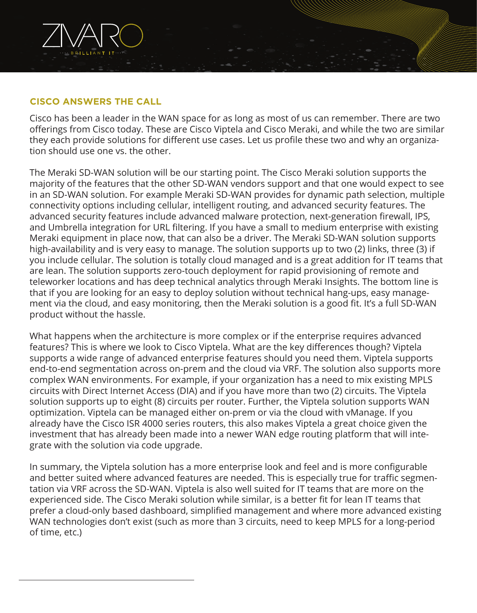#### **CISCO ANSWERS THE CALL**

Cisco has been a leader in the WAN space for as long as most of us can remember. There are two offerings from Cisco today. These are Cisco Viptela and Cisco Meraki, and while the two are similar they each provide solutions for different use cases. Let us profile these two and why an organization should use one vs. the other.

The Meraki SD-WAN solution will be our starting point. The Cisco Meraki solution supports the majority of the features that the other SD-WAN vendors support and that one would expect to see in an SD-WAN solution. For example Meraki SD-WAN provides for dynamic path selection, multiple connectivity options including cellular, intelligent routing, and advanced security features. The advanced security features include advanced malware protection, next-generation firewall, IPS, and Umbrella integration for URL filtering. If you have a small to medium enterprise with existing Meraki equipment in place now, that can also be a driver. The Meraki SD-WAN solution supports high-availability and is very easy to manage. The solution supports up to two (2) links, three (3) if you include cellular. The solution is totally cloud managed and is a great addition for IT teams that are lean. The solution supports zero-touch deployment for rapid provisioning of remote and teleworker locations and has deep technical analytics through Meraki Insights. The bottom line is that if you are looking for an easy to deploy solution without technical hang-ups, easy management via the cloud, and easy monitoring, then the Meraki solution is a good fit. It's a full SD-WAN product without the hassle.

What happens when the architecture is more complex or if the enterprise requires advanced features? This is where we look to Cisco Viptela. What are the key differences though? Viptela supports a wide range of advanced enterprise features should you need them. Viptela supports end-to-end segmentation across on-prem and the cloud via VRF. The solution also supports more complex WAN environments. For example, if your organization has a need to mix existing MPLS circuits with Direct Internet Access (DIA) and if you have more than two (2) circuits. The Viptela solution supports up to eight (8) circuits per router. Further, the Viptela solution supports WAN optimization. Viptela can be managed either on-prem or via the cloud with vManage. If you already have the Cisco ISR 4000 series routers, this also makes Viptela a great choice given the investment that has already been made into a newer WAN edge routing platform that will integrate with the solution via code upgrade.

In summary, the Viptela solution has a more enterprise look and feel and is more configurable and better suited where advanced features are needed. This is especially true for traffic segmentation via VRF across the SD-WAN. Viptela is also well suited for IT teams that are more on the experienced side. The Cisco Meraki solution while similar, is a better fit for lean IT teams that prefer a cloud-only based dashboard, simplified management and where more advanced existing WAN technologies don't exist (such as more than 3 circuits, need to keep MPLS for a long-period of time, etc.)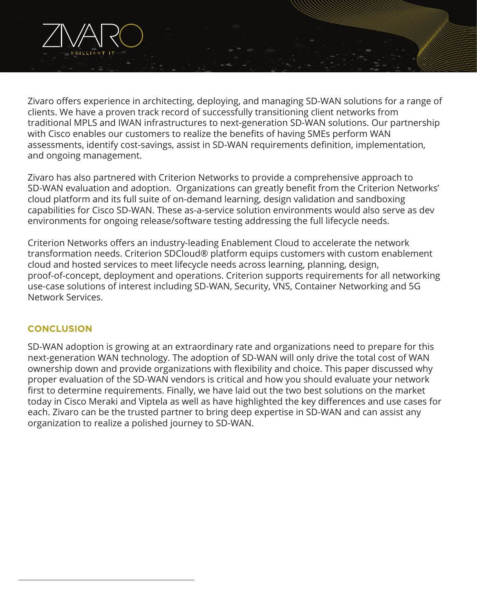

Zivaro offers experience in architecting, deploying, and managing SD-WAN solutions for a range of clients. We have a proven track record of successfully transitioning client networks from traditional MPLS and IWAN infrastructures to next-generation SD-WAN solutions. Our partnership with Cisco enables our customers to realize the benefits of having SMEs perform WAN assessments, identify cost-savings, assist in SD-WAN requirements definition, implementation, and ongoing management.

Zivaro has also partnered with Criterion Networks to provide a comprehensive approach to SD-WAN evaluation and adoption. Organizations can greatly benefit from the Criterion Networks' cloud platform and its full suite of on-demand learning, design validation and sandboxing capabilities for Cisco SD-WAN. These as-a-service solution environments would also serve as dev environments for ongoing release/software testing addressing the full lifecycle needs.

Criterion Networks offers an industry-leading Enablement Cloud to accelerate the network transformation needs. Criterion SDCloud® platform equips customers with custom enablement cloud and hosted services to meet lifecycle needs across learning, planning, design, proof-of-concept, deployment and operations. Criterion supports requirements for all networking use-case solutions of interest including SD-WAN, Security, VNS, Container Networking and 5G Network Services.

### **CONCLUSION**

SD-WAN adoption is growing at an extraordinary rate and organizations need to prepare for this next-generation WAN technology. The adoption of SD-WAN will only drive the total cost of WAN ownership down and provide organizations with flexibility and choice. This paper discussed why proper evaluation of the SD-WAN vendors is critical and how you should evaluate your network first to determine requirements. Finally, we have laid out the two best solutions on the market today in Cisco Meraki and Viptela as well as have highlighted the key differences and use cases for each. Zivaro can be the trusted partner to bring deep expertise in SD-WAN and can assist any organization to realize a polished journey to SD-WAN.